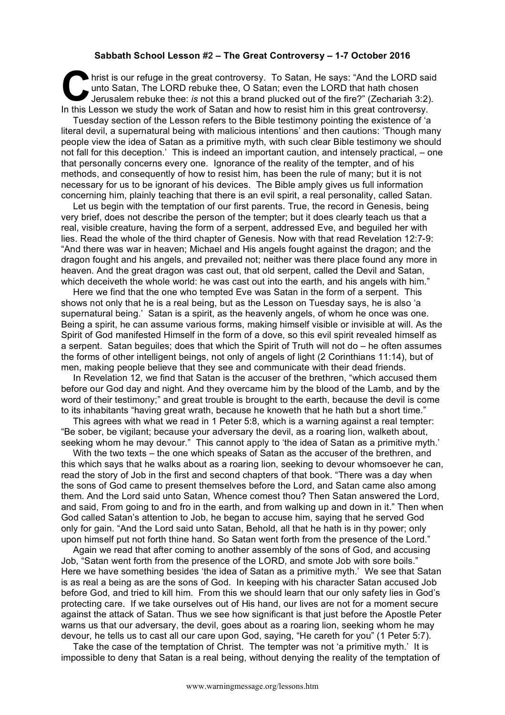## **Sabbath School Lesson #2 – The Great Controversy – 1-7 October 2016**

hrist is our refuge in the great controversy. To Satan, He says: "And the LORD said unto Satan, The LORD rebuke thee, O Satan; even the LORD that hath chosen Jerusalem rebuke thee: *is* not this a brand plucked out of the fire?" (Zechariah 3:2). In this Lesson we study the work of Satan and how to resist him in this great controversy.<br>In this Lesson we study the work of Satan and how to resist him in this great controversy.

Tuesday section of the Lesson refers to the Bible testimony pointing the existence of 'a literal devil, a supernatural being with malicious intentions' and then cautions: 'Though many people view the idea of Satan as a primitive myth, with such clear Bible testimony we should not fall for this deception.' This is indeed an important caution, and intensely practical, – one that personally concerns every one. Ignorance of the reality of the tempter, and of his methods, and consequently of how to resist him, has been the rule of many; but it is not necessary for us to be ignorant of his devices. The Bible amply gives us full information concerning him, plainly teaching that there is an evil spirit, a real personality, called Satan.

Let us begin with the temptation of our first parents. True, the record in Genesis, being very brief, does not describe the person of the tempter; but it does clearly teach us that a real, visible creature, having the form of a serpent, addressed Eve, and beguiled her with lies. Read the whole of the third chapter of Genesis. Now with that read Revelation 12:7-9: "And there was war in heaven; Michael and His angels fought against the dragon; and the dragon fought and his angels, and prevailed not; neither was there place found any more in heaven. And the great dragon was cast out, that old serpent, called the Devil and Satan, which deceiveth the whole world: he was cast out into the earth, and his angels with him."

Here we find that the one who tempted Eve was Satan in the form of a serpent. This shows not only that he is a real being, but as the Lesson on Tuesday says, he is also 'a supernatural being.' Satan is a spirit, as the heavenly angels, of whom he once was one. Being a spirit, he can assume various forms, making himself visible or invisible at will. As the Spirit of God manifested Himself in the form of a dove, so this evil spirit revealed himself as a serpent. Satan beguiles; does that which the Spirit of Truth will not do – he often assumes the forms of other intelligent beings, not only of angels of light (2 Corinthians 11:14), but of men, making people believe that they see and communicate with their dead friends.

In Revelation 12, we find that Satan is the accuser of the brethren, "which accused them before our God day and night. And they overcame him by the blood of the Lamb, and by the word of their testimony;" and great trouble is brought to the earth, because the devil is come to its inhabitants "having great wrath, because he knoweth that he hath but a short time."

This agrees with what we read in 1 Peter 5:8, which is a warning against a real tempter: "Be sober, be vigilant; because your adversary the devil, as a roaring lion, walketh about, seeking whom he may devour." This cannot apply to 'the idea of Satan as a primitive myth.'

With the two texts – the one which speaks of Satan as the accuser of the brethren, and this which says that he walks about as a roaring lion, seeking to devour whomsoever he can, read the story of Job in the first and second chapters of that book. "There was a day when the sons of God came to present themselves before the Lord, and Satan came also among them. And the Lord said unto Satan, Whence comest thou? Then Satan answered the Lord, and said, From going to and fro in the earth, and from walking up and down in it." Then when God called Satan's attention to Job, he began to accuse him, saying that he served God only for gain. "And the Lord said unto Satan, Behold, all that he hath is in thy power; only upon himself put not forth thine hand. So Satan went forth from the presence of the Lord."

Again we read that after coming to another assembly of the sons of God, and accusing Job, "Satan went forth from the presence of the LORD, and smote Job with sore boils." Here we have something besides 'the idea of Satan as a primitive myth.' We see that Satan is as real a being as are the sons of God. In keeping with his character Satan accused Job before God, and tried to kill him. From this we should learn that our only safety lies in God's protecting care. If we take ourselves out of His hand, our lives are not for a moment secure against the attack of Satan. Thus we see how significant is that just before the Apostle Peter warns us that our adversary, the devil, goes about as a roaring lion, seeking whom he may devour, he tells us to cast all our care upon God, saying, "He careth for you" (1 Peter 5:7).

Take the case of the temptation of Christ. The tempter was not 'a primitive myth.' It is impossible to deny that Satan is a real being, without denying the reality of the temptation of